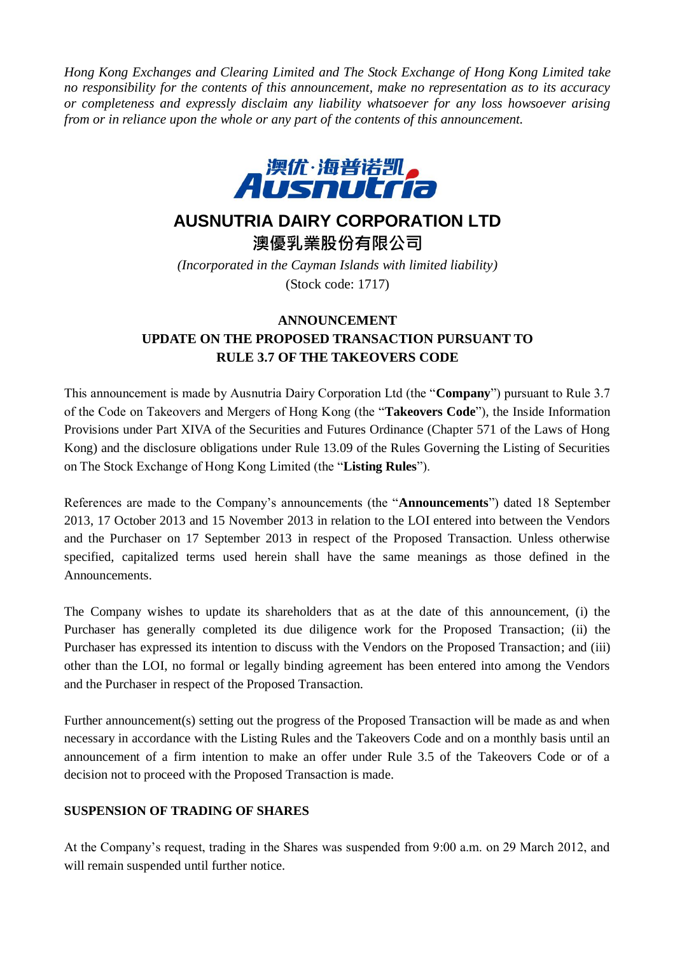*Hong Kong Exchanges and Clearing Limited and The Stock Exchange of Hong Kong Limited take no responsibility for the contents of this announcement, make no representation as to its accuracy or completeness and expressly disclaim any liability whatsoever for any loss howsoever arising from or in reliance upon the whole or any part of the contents of this announcement.*



## **AUSNUTRIA DAIRY CORPORATION LTD**

澳優乳業股份有限公司

*(Incorporated in the Cayman Islands with limited liability)* (Stock code: 1717)

## **ANNOUNCEMENT**

## **UPDATE ON THE PROPOSED TRANSACTION PURSUANT TO RULE 3.7 OF THE TAKEOVERS CODE**

This announcement is made by Ausnutria Dairy Corporation Ltd (the "**Company**") pursuant to Rule 3.7 of the Code on Takeovers and Mergers of Hong Kong (the "**Takeovers Code**"), the Inside Information Provisions under Part XIVA of the Securities and Futures Ordinance (Chapter 571 of the Laws of Hong Kong) and the disclosure obligations under Rule 13.09 of the Rules Governing the Listing of Securities on The Stock Exchange of Hong Kong Limited (the "**Listing Rules**").

References are made to the Company's announcements (the "**Announcements**") dated 18 September 2013, 17 October 2013 and 15 November 2013 in relation to the LOI entered into between the Vendors and the Purchaser on 17 September 2013 in respect of the Proposed Transaction. Unless otherwise specified, capitalized terms used herein shall have the same meanings as those defined in the Announcements.

The Company wishes to update its shareholders that as at the date of this announcement, (i) the Purchaser has generally completed its due diligence work for the Proposed Transaction; (ii) the Purchaser has expressed its intention to discuss with the Vendors on the Proposed Transaction; and (iii) other than the LOI, no formal or legally binding agreement has been entered into among the Vendors and the Purchaser in respect of the Proposed Transaction.

Further announcement(s) setting out the progress of the Proposed Transaction will be made as and when necessary in accordance with the Listing Rules and the Takeovers Code and on a monthly basis until an announcement of a firm intention to make an offer under Rule 3.5 of the Takeovers Code or of a decision not to proceed with the Proposed Transaction is made.

## **SUSPENSION OF TRADING OF SHARES**

At the Company's request, trading in the Shares was suspended from 9:00 a.m. on 29 March 2012, and will remain suspended until further notice.